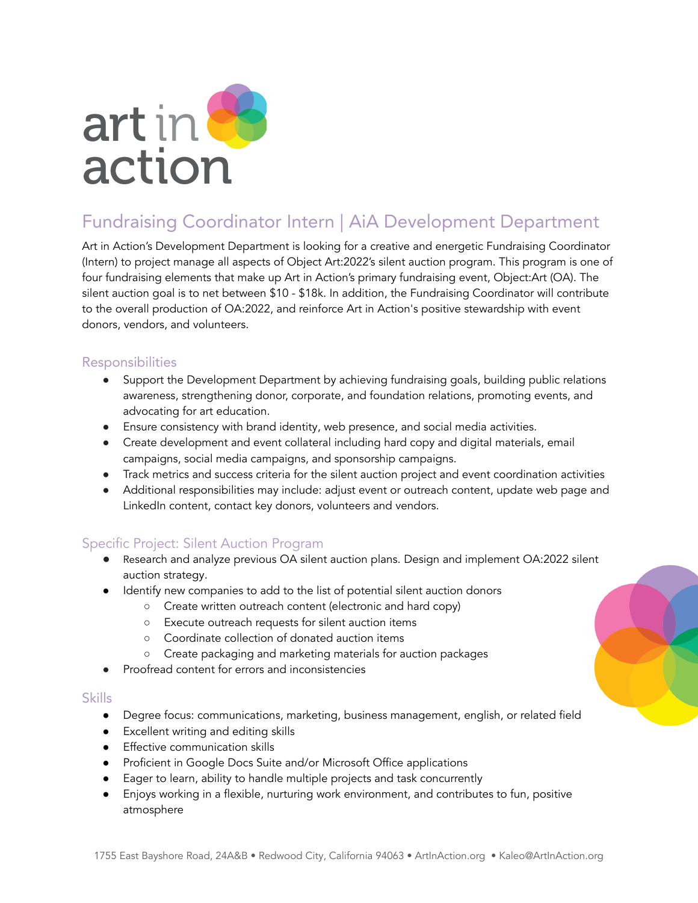

# Fundraising Coordinator Intern | AiA Development Department

Art in Action's Development Department is looking for a creative and energetic Fundraising Coordinator (Intern) to project manage all aspects of Object Art:2022's silent auction program. This program is one of four fundraising elements that make up Art in Action's primary fundraising event, Object:Art (OA). The silent auction goal is to net between \$10 - \$18k. In addition, the Fundraising Coordinator will contribute to the overall production of OA:2022, and reinforce Art in Action's positive stewardship with event donors, vendors, and volunteers.

## Responsibilities

- Support the Development Department by achieving fundraising goals, building public relations awareness, strengthening donor, corporate, and foundation relations, promoting events, and advocating for art education.
- Ensure consistency with brand identity, web presence, and social media activities.
- Create development and event collateral including hard copy and digital materials, email campaigns, social media campaigns, and sponsorship campaigns.
- Track metrics and success criteria for the silent auction project and event coordination activities
- Additional responsibilities may include: adjust event or outreach content, update web page and LinkedIn content, contact key donors, volunteers and vendors.

# Specific Project: Silent Auction Program

- Research and analyze previous OA silent auction plans. Design and implement OA:2022 silent auction strategy.
- Identify new companies to add to the list of potential silent auction donors
	- Create written outreach content (electronic and hard copy)
	- Execute outreach requests for silent auction items
	- Coordinate collection of donated auction items
	- Create packaging and marketing materials for auction packages
- Proofread content for errors and inconsistencies

#### Skills

- Degree focus: communications, marketing, business management, english, or related field
- Excellent writing and editing skills
- Effective communication skills
- Proficient in Google Docs Suite and/or Microsoft Office applications
- Eager to learn, ability to handle multiple projects and task concurrently
- Enjoys working in a flexible, nurturing work environment, and contributes to fun, positive atmosphere